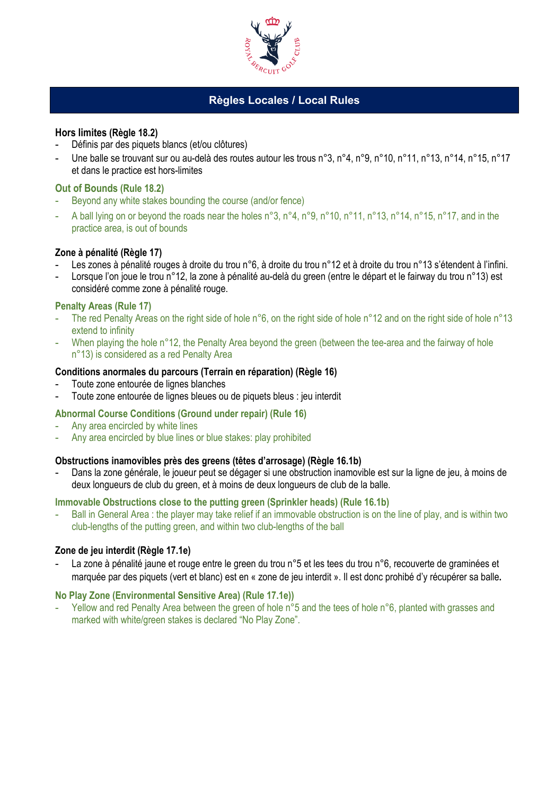

# **Règles Locales / Local Rules**

## **Hors limites (Règle 18.2)**

- Définis par des piquets blancs (et/ou clôtures)
- Une balle se trouvant sur ou au-delà des routes autour les trous n°3, n°4, n°9, n°10, n°11, n°13, n°14, n°15, n°17 et dans le practice est hors-limites

## **Out of Bounds (Rule 18.2)**

- Beyond any white stakes bounding the course (and/or fence)
- A ball lying on or beyond the roads near the holes n°3, n°4, n°9, n°10, n°11, n°13, n°14, n°15, n°17, and in the practice area, is out of bounds

## **Zone à pénalité (Règle 17)**

- Les zones à pénalité rouges à droite du trou n°6, à droite du trou n°12 et à droite du trou n°13 s'étendent à l'infini.
- Lorsque l'on joue le trou n°12, la zone à pénalité au-delà du green (entre le départ et le fairway du trou n°13) est considéré comme zone à pénalité rouge.

## **Penalty Areas (Rule 17)**

- The red Penalty Areas on the right side of hole n°6, on the right side of hole n°12 and on the right side of hole n°13 extend to infinity
- When playing the hole n°12, the Penalty Area beyond the green (between the tee-area and the fairway of hole n°13) is considered as a red Penalty Area

## **Conditions anormales du parcours (Terrain en réparation) (Règle 16)**

- Toute zone entourée de lignes blanches
- Toute zone entourée de lignes bleues ou de piquets bleus : jeu interdit

## **Abnormal Course Conditions (Ground under repair) (Rule 16)**

- Any area encircled by white lines
- Any area encircled by blue lines or blue stakes: play prohibited

## **Obstructions inamovibles près des greens (têtes d'arrosage) (Règle 16.1b)**

- Dans la zone générale, le joueur peut se dégager si une obstruction inamovible est sur la ligne de jeu, à moins de deux longueurs de club du green, et à moins de deux longueurs de club de la balle.

#### **Immovable Obstructions close to the putting green (Sprinkler heads) (Rule 16.1b)**

Ball in General Area : the player may take relief if an immovable obstruction is on the line of play, and is within two club-lengths of the putting green, and within two club-lengths of the ball

## **Zone de jeu interdit (Règle 17.1e)**

La zone à pénalité jaune et rouge entre le green du trou n°5 et les tees du trou n°6, recouverte de graminées et marquée par des piquets (vert et blanc) est en « zone de jeu interdit ». Il est donc prohibé d'y récupérer sa balle**.** 

## **No Play Zone (Environmental Sensitive Area) (Rule 17.1e))**

Yellow and red Penalty Area between the green of hole n°5 and the tees of hole n°6, planted with grasses and marked with white/green stakes is declared "No Play Zone".